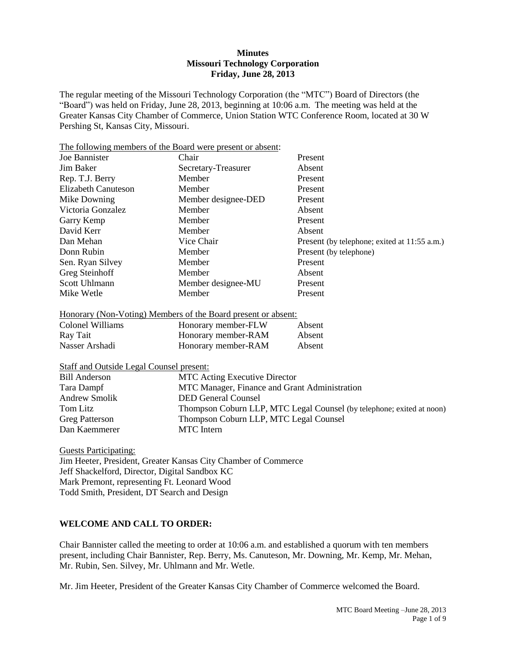### **Minutes Missouri Technology Corporation Friday, June 28, 2013**

The regular meeting of the Missouri Technology Corporation (the "MTC") Board of Directors (the "Board") was held on Friday, June 28, 2013, beginning at 10:06 a.m. The meeting was held at the Greater Kansas City Chamber of Commerce, Union Station WTC Conference Room, located at 30 W Pershing St, Kansas City, Missouri.

The following members of the Board were present or absent: Joe Bannister Chair Present Jim Baker Secretary-Treasurer Absent Rep. T.J. Berry Member Present Elizabeth Canuteson Member Present Mike Downing Member designee-DED Present Victoria Gonzalez Member Absent Garry Kemp Member Nember Present David Kerr Member Absent Dan Mehan Vice Chair Present (by telephone; exited at 11:55 a.m.) Donn Rubin Member Present (by telephone) Sen. Ryan Silvey Member Present Greg Steinhoff Member Absent Scott Uhlmann Member designee-MU Present Mike Wetle **Member** Member **Present** 

# Honorary (Non-Voting) Members of the Board present or absent:

| Colonel Williams | Honorary member-FLW | Absent |
|------------------|---------------------|--------|
| Ray Tait         | Honorary member-RAM | Absent |
| Nasser Arshadi   | Honorary member-RAM | Absent |

Staff and Outside Legal Counsel present:

| <b>Bill Anderson</b>  | <b>MTC</b> Acting Executive Director                                  |
|-----------------------|-----------------------------------------------------------------------|
| Tara Dampf            | MTC Manager, Finance and Grant Administration                         |
| <b>Andrew Smolik</b>  | <b>DED General Counsel</b>                                            |
| Tom Litz              | Thompson Coburn LLP, MTC Legal Counsel (by telephone; exited at noon) |
| <b>Greg Patterson</b> | Thompson Coburn LLP, MTC Legal Counsel                                |
| Dan Kaemmerer         | <b>MTC</b> Intern                                                     |

Guests Participating:

Jim Heeter, President, Greater Kansas City Chamber of Commerce Jeff Shackelford, Director, Digital Sandbox KC Mark Premont, representing Ft. Leonard Wood Todd Smith, President, DT Search and Design

# **WELCOME AND CALL TO ORDER:**

Chair Bannister called the meeting to order at 10:06 a.m. and established a quorum with ten members present, including Chair Bannister, Rep. Berry, Ms. Canuteson, Mr. Downing, Mr. Kemp, Mr. Mehan, Mr. Rubin, Sen. Silvey, Mr. Uhlmann and Mr. Wetle.

Mr. Jim Heeter, President of the Greater Kansas City Chamber of Commerce welcomed the Board.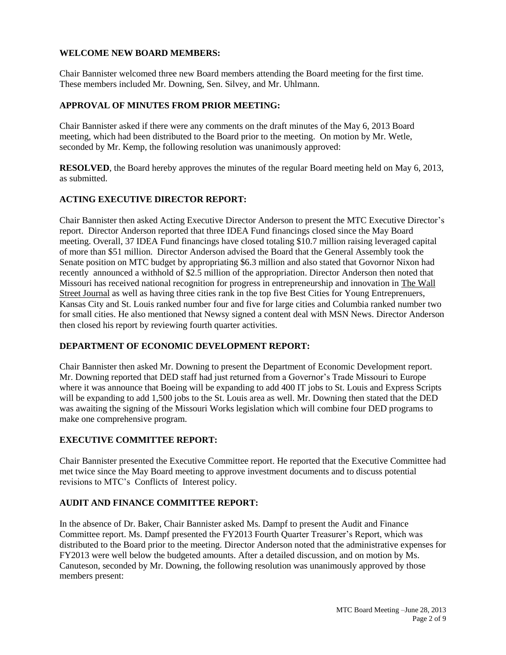## **WELCOME NEW BOARD MEMBERS:**

Chair Bannister welcomed three new Board members attending the Board meeting for the first time. These members included Mr. Downing, Sen. Silvey, and Mr. Uhlmann.

## **APPROVAL OF MINUTES FROM PRIOR MEETING:**

Chair Bannister asked if there were any comments on the draft minutes of the May 6, 2013 Board meeting, which had been distributed to the Board prior to the meeting. On motion by Mr. Wetle, seconded by Mr. Kemp, the following resolution was unanimously approved:

**RESOLVED**, the Board hereby approves the minutes of the regular Board meeting held on May 6, 2013, as submitted.

## **ACTING EXECUTIVE DIRECTOR REPORT:**

Chair Bannister then asked Acting Executive Director Anderson to present the MTC Executive Director's report. Director Anderson reported that three IDEA Fund financings closed since the May Board meeting. Overall, 37 IDEA Fund financings have closed totaling \$10.7 million raising leveraged capital of more than \$51 million. Director Anderson advised the Board that the General Assembly took the Senate position on MTC budget by appropriating \$6.3 million and also stated that Govornor Nixon had recently announced a withhold of \$2.5 million of the appropriation. Director Anderson then noted that Missouri has received national recognition for progress in entrepreneurship and innovation in The Wall Street Journal as well as having three cities rank in the top five Best Cities for Young Entreprenuers, Kansas City and St. Louis ranked number four and five for large cities and Columbia ranked number two for small cities. He also mentioned that Newsy signed a content deal with MSN News. Director Anderson then closed his report by reviewing fourth quarter activities.

## **DEPARTMENT OF ECONOMIC DEVELOPMENT REPORT:**

Chair Bannister then asked Mr. Downing to present the Department of Economic Development report. Mr. Downing reported that DED staff had just returned from a Governor's Trade Missouri to Europe where it was announce that Boeing will be expanding to add 400 IT jobs to St. Louis and Express Scripts will be expanding to add 1,500 jobs to the St. Louis area as well. Mr. Downing then stated that the DED was awaiting the signing of the Missouri Works legislation which will combine four DED programs to make one comprehensive program.

### **EXECUTIVE COMMITTEE REPORT:**

Chair Bannister presented the Executive Committee report. He reported that the Executive Committee had met twice since the May Board meeting to approve investment documents and to discuss potential revisions to MTC's Conflicts of Interest policy.

# **AUDIT AND FINANCE COMMITTEE REPORT:**

In the absence of Dr. Baker, Chair Bannister asked Ms. Dampf to present the Audit and Finance Committee report. Ms. Dampf presented the FY2013 Fourth Quarter Treasurer's Report, which was distributed to the Board prior to the meeting. Director Anderson noted that the administrative expenses for FY2013 were well below the budgeted amounts. After a detailed discussion, and on motion by Ms. Canuteson, seconded by Mr. Downing, the following resolution was unanimously approved by those members present: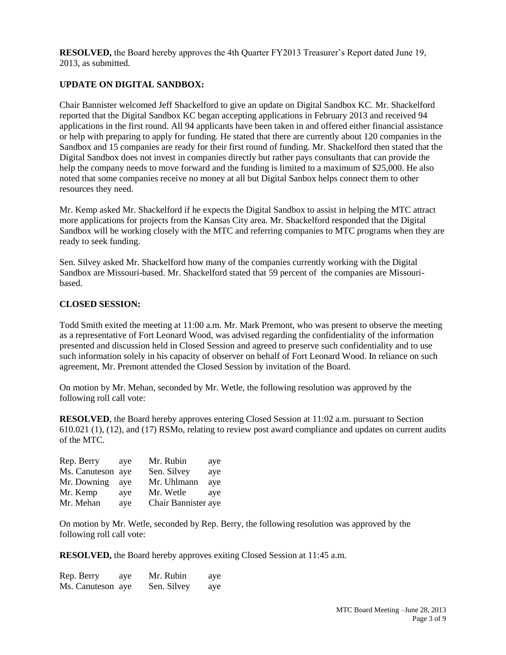**RESOLVED,** the Board hereby approves the 4th Quarter FY2013 Treasurer's Report dated June 19, 2013, as submitted.

# **UPDATE ON DIGITAL SANDBOX:**

Chair Bannister welcomed Jeff Shackelford to give an update on Digital Sandbox KC. Mr. Shackelford reported that the Digital Sandbox KC began accepting applications in February 2013 and received 94 applications in the first round. All 94 applicants have been taken in and offered either financial assistance or help with preparing to apply for funding. He stated that there are currently about 120 companies in the Sandbox and 15 companies are ready for their first round of funding. Mr. Shackelford then stated that the Digital Sandbox does not invest in companies directly but rather pays consultants that can provide the help the company needs to move forward and the funding is limited to a maximum of \$25,000. He also noted that some companies receive no money at all but Digital Sanbox helps connect them to other resources they need.

Mr. Kemp asked Mr. Shackelford if he expects the Digital Sandbox to assist in helping the MTC attract more applications for projects from the Kansas City area. Mr. Shackelford responded that the Digital Sandbox will be working closely with the MTC and referring companies to MTC programs when they are ready to seek funding.

Sen. Silvey asked Mr. Shackelford how many of the companies currently working with the Digital Sandbox are Missouri-based. Mr. Shackelford stated that 59 percent of the companies are Missouribased.

#### **CLOSED SESSION:**

Todd Smith exited the meeting at 11:00 a.m. Mr. Mark Premont, who was present to observe the meeting as a representative of Fort Leonard Wood, was advised regarding the confidentiality of the information presented and discussion held in Closed Session and agreed to preserve such confidentiality and to use such information solely in his capacity of observer on behalf of Fort Leonard Wood. In reliance on such agreement, Mr. Premont attended the Closed Session by invitation of the Board.

On motion by Mr. Mehan, seconded by Mr. Wetle, the following resolution was approved by the following roll call vote:

**RESOLVED**, the Board hereby approves entering Closed Session at 11:02 a.m. pursuant to Section 610.021 (1), (12), and (17) RSMo, relating to review post award compliance and updates on current audits of the MTC.

| Rep. Berry        | ave | Mr. Rubin           | aye |
|-------------------|-----|---------------------|-----|
| Ms. Canuteson aye |     | Sen. Silvey         | aye |
| Mr. Downing       | ave | Mr. Uhlmann         | ave |
| Mr. Kemp          | ave | Mr. Wetle           | ave |
| Mr. Mehan         | aye | Chair Bannister aye |     |

On motion by Mr. Wetle, seconded by Rep. Berry, the following resolution was approved by the following roll call vote:

**RESOLVED,** the Board hereby approves exiting Closed Session at 11:45 a.m.

| Rep. Berry        | aye | Mr. Rubin   | aye |
|-------------------|-----|-------------|-----|
| Ms. Canuteson aye |     | Sen. Silvey | aye |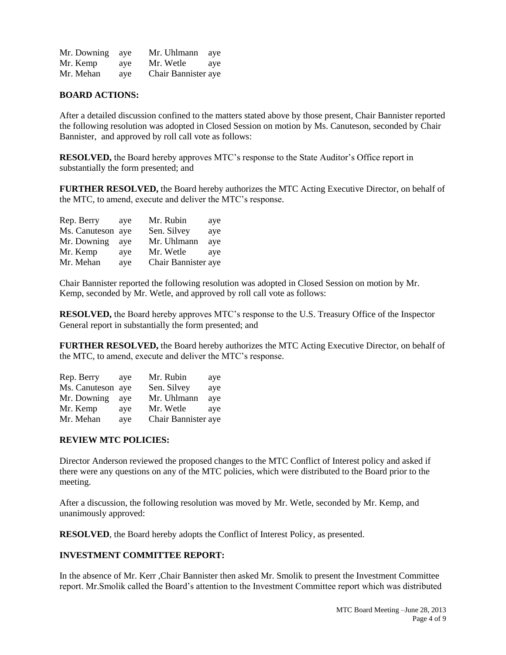| Mr. Downing | ave | Mr. Uhlmann         | ave |
|-------------|-----|---------------------|-----|
| Mr. Kemp    | ave | Mr. Wetle           | ave |
| Mr. Mehan   | ave | Chair Bannister aye |     |

### **BOARD ACTIONS:**

After a detailed discussion confined to the matters stated above by those present, Chair Bannister reported the following resolution was adopted in Closed Session on motion by Ms. Canuteson, seconded by Chair Bannister, and approved by roll call vote as follows:

**RESOLVED,** the Board hereby approves MTC's response to the State Auditor's Office report in substantially the form presented; and

**FURTHER RESOLVED,** the Board hereby authorizes the MTC Acting Executive Director, on behalf of the MTC, to amend, execute and deliver the MTC's response.

| Rep. Berry        | ave | Mr. Rubin           | aye |
|-------------------|-----|---------------------|-----|
| Ms. Canuteson aye |     | Sen. Silvey         | aye |
| Mr. Downing       | ave | Mr. Uhlmann         | aye |
| Mr. Kemp          | ave | Mr. Wetle           | ave |
| Mr. Mehan         | aye | Chair Bannister aye |     |

Chair Bannister reported the following resolution was adopted in Closed Session on motion by Mr. Kemp, seconded by Mr. Wetle, and approved by roll call vote as follows:

**RESOLVED,** the Board hereby approves MTC's response to the U.S. Treasury Office of the Inspector General report in substantially the form presented; and

**FURTHER RESOLVED,** the Board hereby authorizes the MTC Acting Executive Director, on behalf of the MTC, to amend, execute and deliver the MTC's response.

| Rep. Berry        | ave | Mr. Rubin           | aye |
|-------------------|-----|---------------------|-----|
| Ms. Canuteson aye |     | Sen. Silvey         | aye |
| Mr. Downing       | ave | Mr. Uhlmann         | aye |
| Mr. Kemp          | ave | Mr. Wetle           | aye |
| Mr. Mehan         | aye | Chair Bannister aye |     |

#### **REVIEW MTC POLICIES:**

Director Anderson reviewed the proposed changes to the MTC Conflict of Interest policy and asked if there were any questions on any of the MTC policies, which were distributed to the Board prior to the meeting.

After a discussion, the following resolution was moved by Mr. Wetle, seconded by Mr. Kemp, and unanimously approved:

**RESOLVED**, the Board hereby adopts the Conflict of Interest Policy, as presented.

### **INVESTMENT COMMITTEE REPORT:**

In the absence of Mr. Kerr ,Chair Bannister then asked Mr. Smolik to present the Investment Committee report. Mr.Smolik called the Board's attention to the Investment Committee report which was distributed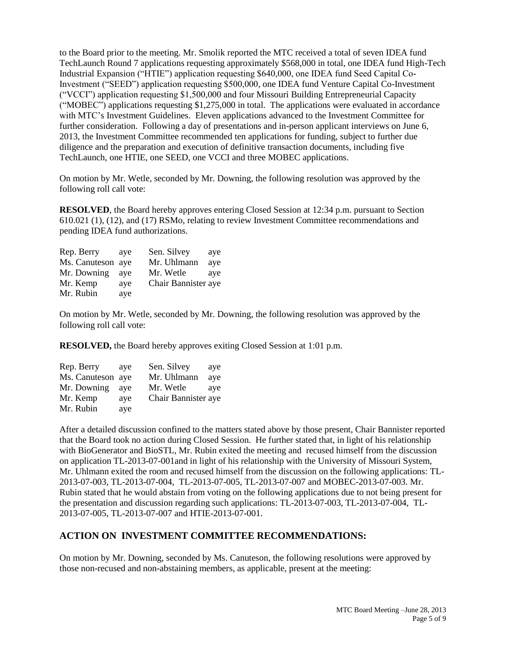to the Board prior to the meeting. Mr. Smolik reported the MTC received a total of seven IDEA fund TechLaunch Round 7 applications requesting approximately \$568,000 in total, one IDEA fund High-Tech Industrial Expansion ("HTIE") application requesting \$640,000, one IDEA fund Seed Capital Co-Investment ("SEED") application requesting \$500,000, one IDEA fund Venture Capital Co-Investment ("VCCI") application requesting \$1,500,000 and four Missouri Building Entrepreneurial Capacity ("MOBEC") applications requesting \$1,275,000 in total. The applications were evaluated in accordance with MTC's Investment Guidelines. Eleven applications advanced to the Investment Committee for further consideration. Following a day of presentations and in-person applicant interviews on June 6, 2013, the Investment Committee recommended ten applications for funding, subject to further due diligence and the preparation and execution of definitive transaction documents, including five TechLaunch, one HTIE, one SEED, one VCCI and three MOBEC applications.

On motion by Mr. Wetle, seconded by Mr. Downing, the following resolution was approved by the following roll call vote:

**RESOLVED**, the Board hereby approves entering Closed Session at 12:34 p.m. pursuant to Section 610.021 (1), (12), and (17) RSMo, relating to review Investment Committee recommendations and pending IDEA fund authorizations.

| ave               | Sen. Silvey | aye                 |
|-------------------|-------------|---------------------|
| Ms. Canuteson aye | Mr. Uhlmann | aye                 |
| ave               | Mr. Wetle   | ave                 |
| ave               |             |                     |
| ave               |             |                     |
|                   |             | Chair Bannister aye |

On motion by Mr. Wetle, seconded by Mr. Downing, the following resolution was approved by the following roll call vote:

**RESOLVED,** the Board hereby approves exiting Closed Session at 1:01 p.m.

| ave               | Sen. Silvey         | aye |
|-------------------|---------------------|-----|
| Ms. Canuteson aye | Mr. Uhlmann         | aye |
| ave               | Mr. Wetle           | ave |
| ave               | Chair Bannister aye |     |
| aye               |                     |     |
|                   |                     |     |

After a detailed discussion confined to the matters stated above by those present, Chair Bannister reported that the Board took no action during Closed Session. He further stated that, in light of his relationship with BioGenerator and BioSTL, Mr. Rubin exited the meeting and recused himself from the discussion on application TL-2013-07-001and in light of his relationship with the University of Missouri System, Mr. Uhlmann exited the room and recused himself from the discussion on the following applications: TL-2013-07-003, TL-2013-07-004, TL-2013-07-005, TL-2013-07-007 and MOBEC-2013-07-003. Mr. Rubin stated that he would abstain from voting on the following applications due to not being present for the presentation and discussion regarding such applications: TL-2013-07-003, TL-2013-07-004, TL-2013-07-005, TL-2013-07-007 and HTIE-2013-07-001.

# **ACTION ON INVESTMENT COMMITTEE RECOMMENDATIONS:**

On motion by Mr. Downing, seconded by Ms. Canuteson, the following resolutions were approved by those non-recused and non-abstaining members, as applicable, present at the meeting: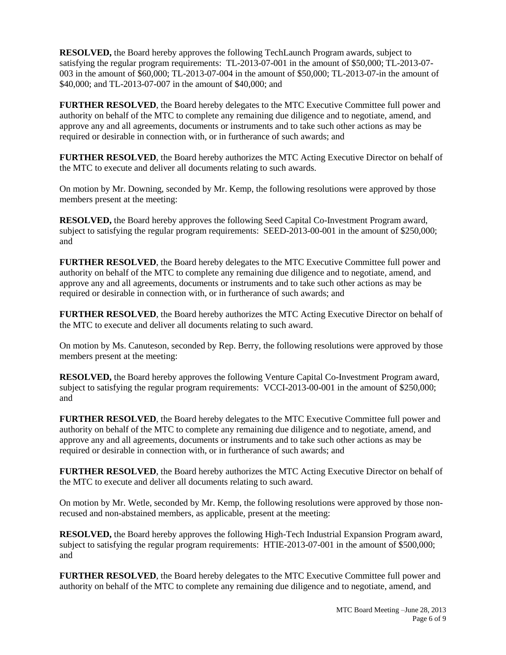**RESOLVED,** the Board hereby approves the following TechLaunch Program awards, subject to satisfying the regular program requirements: TL-2013-07-001 in the amount of \$50,000; TL-2013-07- 003 in the amount of \$60,000; TL-2013-07-004 in the amount of \$50,000; TL-2013-07-in the amount of \$40,000; and TL-2013-07-007 in the amount of \$40,000; and

**FURTHER RESOLVED**, the Board hereby delegates to the MTC Executive Committee full power and authority on behalf of the MTC to complete any remaining due diligence and to negotiate, amend, and approve any and all agreements, documents or instruments and to take such other actions as may be required or desirable in connection with, or in furtherance of such awards; and

**FURTHER RESOLVED**, the Board hereby authorizes the MTC Acting Executive Director on behalf of the MTC to execute and deliver all documents relating to such awards.

On motion by Mr. Downing, seconded by Mr. Kemp, the following resolutions were approved by those members present at the meeting:

**RESOLVED,** the Board hereby approves the following Seed Capital Co-Investment Program award, subject to satisfying the regular program requirements: SEED-2013-00-001 in the amount of \$250,000; and

**FURTHER RESOLVED**, the Board hereby delegates to the MTC Executive Committee full power and authority on behalf of the MTC to complete any remaining due diligence and to negotiate, amend, and approve any and all agreements, documents or instruments and to take such other actions as may be required or desirable in connection with, or in furtherance of such awards; and

**FURTHER RESOLVED**, the Board hereby authorizes the MTC Acting Executive Director on behalf of the MTC to execute and deliver all documents relating to such award.

On motion by Ms. Canuteson, seconded by Rep. Berry, the following resolutions were approved by those members present at the meeting:

**RESOLVED,** the Board hereby approves the following Venture Capital Co-Investment Program award, subject to satisfying the regular program requirements: VCCI-2013-00-001 in the amount of \$250,000; and

**FURTHER RESOLVED**, the Board hereby delegates to the MTC Executive Committee full power and authority on behalf of the MTC to complete any remaining due diligence and to negotiate, amend, and approve any and all agreements, documents or instruments and to take such other actions as may be required or desirable in connection with, or in furtherance of such awards; and

**FURTHER RESOLVED**, the Board hereby authorizes the MTC Acting Executive Director on behalf of the MTC to execute and deliver all documents relating to such award.

On motion by Mr. Wetle, seconded by Mr. Kemp, the following resolutions were approved by those nonrecused and non-abstained members, as applicable, present at the meeting:

**RESOLVED,** the Board hereby approves the following High-Tech Industrial Expansion Program award, subject to satisfying the regular program requirements: HTIE-2013-07-001 in the amount of \$500,000; and

**FURTHER RESOLVED**, the Board hereby delegates to the MTC Executive Committee full power and authority on behalf of the MTC to complete any remaining due diligence and to negotiate, amend, and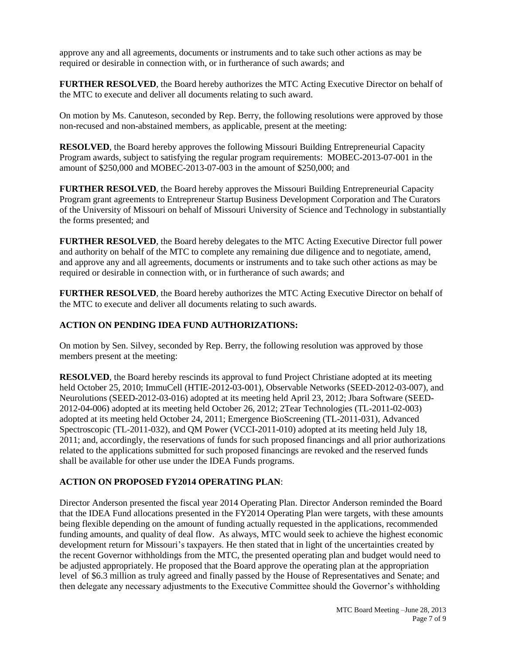approve any and all agreements, documents or instruments and to take such other actions as may be required or desirable in connection with, or in furtherance of such awards; and

**FURTHER RESOLVED**, the Board hereby authorizes the MTC Acting Executive Director on behalf of the MTC to execute and deliver all documents relating to such award.

On motion by Ms. Canuteson, seconded by Rep. Berry, the following resolutions were approved by those non-recused and non-abstained members, as applicable, present at the meeting:

**RESOLVED**, the Board hereby approves the following Missouri Building Entrepreneurial Capacity Program awards, subject to satisfying the regular program requirements: MOBEC-2013-07-001 in the amount of \$250,000 and MOBEC-2013-07-003 in the amount of \$250,000; and

**FURTHER RESOLVED**, the Board hereby approves the Missouri Building Entrepreneurial Capacity Program grant agreements to Entrepreneur Startup Business Development Corporation and The Curators of the University of Missouri on behalf of Missouri University of Science and Technology in substantially the forms presented; and

**FURTHER RESOLVED**, the Board hereby delegates to the MTC Acting Executive Director full power and authority on behalf of the MTC to complete any remaining due diligence and to negotiate, amend, and approve any and all agreements, documents or instruments and to take such other actions as may be required or desirable in connection with, or in furtherance of such awards; and

**FURTHER RESOLVED**, the Board hereby authorizes the MTC Acting Executive Director on behalf of the MTC to execute and deliver all documents relating to such awards.

# **ACTION ON PENDING IDEA FUND AUTHORIZATIONS:**

On motion by Sen. Silvey, seconded by Rep. Berry, the following resolution was approved by those members present at the meeting:

**RESOLVED**, the Board hereby rescinds its approval to fund Project Christiane adopted at its meeting held October 25, 2010; ImmuCell (HTIE-2012-03-001), Observable Networks (SEED-2012-03-007), and Neurolutions (SEED-2012-03-016) adopted at its meeting held April 23, 2012; Jbara Software (SEED-2012-04-006) adopted at its meeting held October 26, 2012; 2Tear Technologies (TL-2011-02-003) adopted at its meeting held October 24, 2011; Emergence BioScreening (TL-2011-031), Advanced Spectroscopic (TL-2011-032), and QM Power (VCCI-2011-010) adopted at its meeting held July 18, 2011; and, accordingly, the reservations of funds for such proposed financings and all prior authorizations related to the applications submitted for such proposed financings are revoked and the reserved funds shall be available for other use under the IDEA Funds programs.

# **ACTION ON PROPOSED FY2014 OPERATING PLAN**:

Director Anderson presented the fiscal year 2014 Operating Plan. Director Anderson reminded the Board that the IDEA Fund allocations presented in the FY2014 Operating Plan were targets, with these amounts being flexible depending on the amount of funding actually requested in the applications, recommended funding amounts, and quality of deal flow. As always, MTC would seek to achieve the highest economic development return for Missouri's taxpayers. He then stated that in light of the uncertainties created by the recent Governor withholdings from the MTC, the presented operating plan and budget would need to be adjusted appropriately. He proposed that the Board approve the operating plan at the appropriation level of \$6.3 million as truly agreed and finally passed by the House of Representatives and Senate; and then delegate any necessary adjustments to the Executive Committee should the Governor's withholding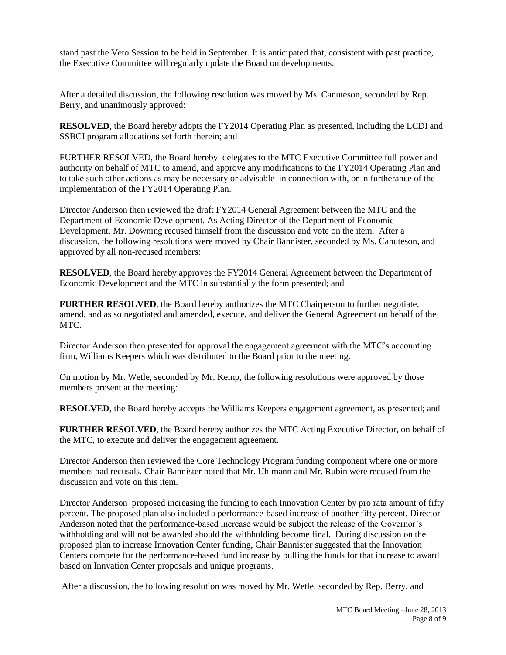stand past the Veto Session to be held in September. It is anticipated that, consistent with past practice, the Executive Committee will regularly update the Board on developments.

After a detailed discussion, the following resolution was moved by Ms. Canuteson, seconded by Rep. Berry, and unanimously approved:

**RESOLVED,** the Board hereby adopts the FY2014 Operating Plan as presented, including the LCDI and SSBCI program allocations set forth therein; and

FURTHER RESOLVED, the Board hereby delegates to the MTC Executive Committee full power and authority on behalf of MTC to amend, and approve any modifications to the FY2014 Operating Plan and to take such other actions as may be necessary or advisable in connection with, or in furtherance of the implementation of the FY2014 Operating Plan.

Director Anderson then reviewed the draft FY2014 General Agreement between the MTC and the Department of Economic Development. As Acting Director of the Department of Economic Development, Mr. Downing recused himself from the discussion and vote on the item. After a discussion, the following resolutions were moved by Chair Bannister, seconded by Ms. Canuteson, and approved by all non-recused members:

**RESOLVED**, the Board hereby approves the FY2014 General Agreement between the Department of Economic Development and the MTC in substantially the form presented; and

**FURTHER RESOLVED**, the Board hereby authorizes the MTC Chairperson to further negotiate, amend, and as so negotiated and amended, execute, and deliver the General Agreement on behalf of the MTC.

Director Anderson then presented for approval the engagement agreement with the MTC's accounting firm, Williams Keepers which was distributed to the Board prior to the meeting.

On motion by Mr. Wetle, seconded by Mr. Kemp, the following resolutions were approved by those members present at the meeting:

**RESOLVED**, the Board hereby accepts the Williams Keepers engagement agreement, as presented; and

**FURTHER RESOLVED**, the Board hereby authorizes the MTC Acting Executive Director, on behalf of the MTC, to execute and deliver the engagement agreement.

Director Anderson then reviewed the Core Technology Program funding component where one or more members had recusals. Chair Bannister noted that Mr. Uhlmann and Mr. Rubin were recused from the discussion and vote on this item.

Director Anderson proposed increasing the funding to each Innovation Center by pro rata amount of fifty percent. The proposed plan also included a performance-based increase of another fifty percent. Director Anderson noted that the performance-based increase would be subject the release of the Governor's withholding and will not be awarded should the withholding become final. During discussion on the proposed plan to increase Innovation Center funding, Chair Bannister suggested that the Innovation Centers compete for the performance-based fund increase by pulling the funds for that increase to award based on Innvation Center proposals and unique programs.

After a discussion, the following resolution was moved by Mr. Wetle, seconded by Rep. Berry, and